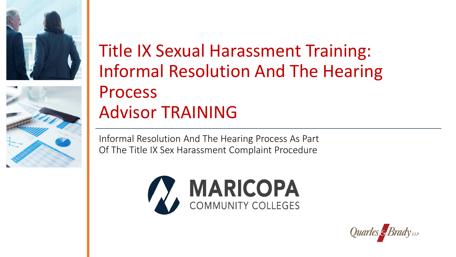



#### Title IX Sexual Harassment Training: Informal Resolution And The Hearing Process Advisor TRAINING

 Informal Resolution And The Hearing Process As Part Of The Title IX Sex Harassment Complaint Procedure



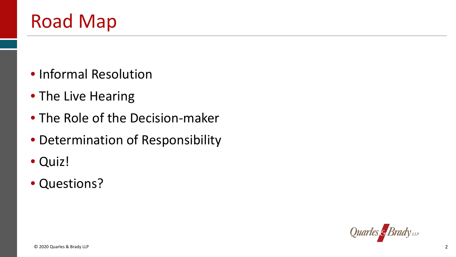# Road Map

- Informal Resolution
- The Live Hearing
- The Role of the Decision-maker
- Determination of Responsibility
- Quiz!
- Questions?

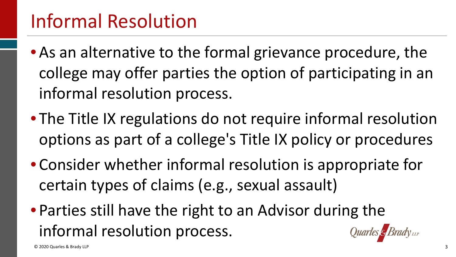- • As an alternative to the formal grievance procedure, the college may offer parties the option of participating in an informal resolution process.
- • The Title IX regulations do not require informal resolution options as part of a college's Title IX policy or procedures
- • Consider whether informal resolution is appropriate for certain types of claims (e.g., sexual assault)
- • Parties still have the right to an Advisor during the informal resolution process.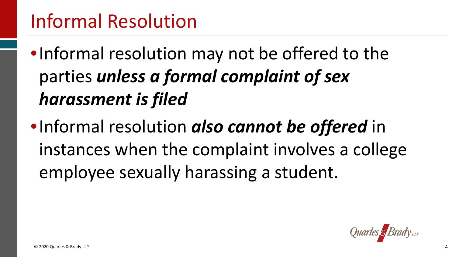- •Informal resolution may not be offered to the  parties *unless a formal complaint of sex harassment is filed*
- instances when the complaint involves a college •Informal resolution *also cannot be offered* in employee sexually harassing a student.

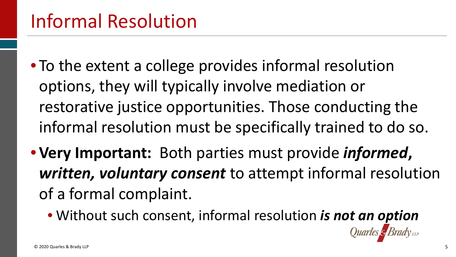- • To the extent a college provides informal resolution options, they will typically involve mediation or informal resolution must be specifically trained to do so. restorative justice opportunities. Those conducting the
- **Very Important:** Both parties must provide *informed***,**  *written, voluntary consent* to attempt informal resolution of a formal complaint.
	- Without such consent, informal resolution *is not an option*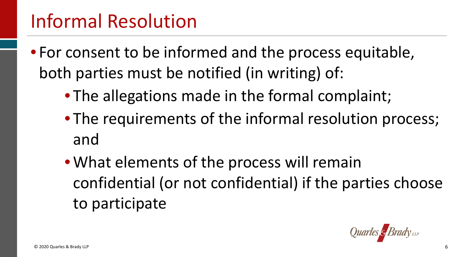- • For consent to be informed and the process equitable, both parties must be notified (in writing) of:
	- The allegations made in the formal complaint;
	- The requirements of the informal resolution process; and
	- • What elements of the process will remain confidential (or not confidential) if the parties choose to participate

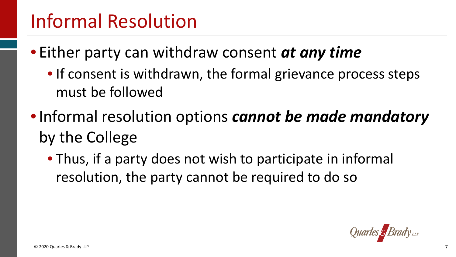- Either party can withdraw consent *at any time* 
	- • If consent is withdrawn, the formal grievance process steps must be followed
- • Informal resolution options *cannot be made mandatory*  by the College
	- • Thus, if a party does not wish to participate in informal resolution, the party cannot be required to do so

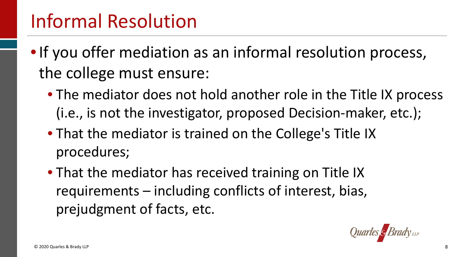- • If you offer mediation as an informal resolution process, the college must ensure:
	- The mediator does not hold another role in the Title IX process (i.e., is not the investigator, proposed Decision-maker, etc.);
	- • That the mediator is trained on the College's Title IX procedures;
	- • That the mediator has received training on Title IX requirements – including conflicts of interest, bias, prejudgment of facts, etc.

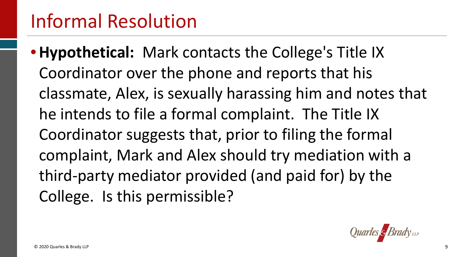• **Hypothetical:** Mark contacts the College's Title IX Coordinator over the phone and reports that his classmate, Alex, is sexually harassing him and notes that he intends to file a formal complaint. The Title IX Coordinator suggests that, prior to filing the formal complaint, Mark and Alex should try mediation with a third-party mediator provided (and paid for) by the College. Is this permissible?

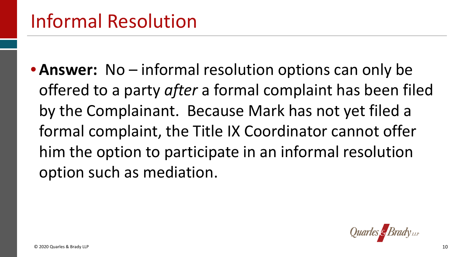• **Answer:** No – informal resolution options can only be offered to a party *after* a formal complaint has been filed by the Complainant. Because Mark has not yet filed a formal complaint, the Title IX Coordinator cannot offer him the option to participate in an informal resolution option such as mediation.

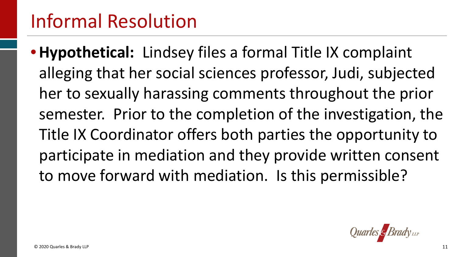• **Hypothetical:** Lindsey files a formal Title IX complaint alleging that her social sciences professor, Judi, subjected semester. Prior to the completion of the investigation, the Title IX Coordinator offers both parties the opportunity to to move forward with mediation. Is this permissible? her to sexually harassing comments throughout the prior participate in mediation and they provide written consent

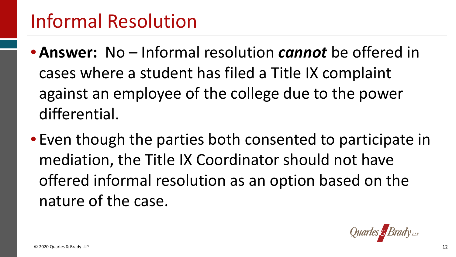- cases where a student has filed a Title IX complaint against an employee of the college due to the power • **Answer:** No – Informal resolution *cannot* be offered in differential.
- • Even though the parties both consented to participate in offered informal resolution as an option based on the mediation, the Title IX Coordinator should not have nature of the case.

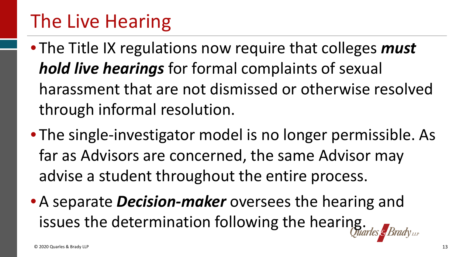- • The Title IX regulations now require that colleges *must hold live hearings* for formal complaints of sexual harassment that are not dismissed or otherwise resolved through informal resolution.
- • The single-investigator model is no longer permissible. As far as Advisors are concerned, the same Advisor may advise a student throughout the entire process.
- • A separate *Decision-maker* oversees the hearing and issues the determination following the hearing.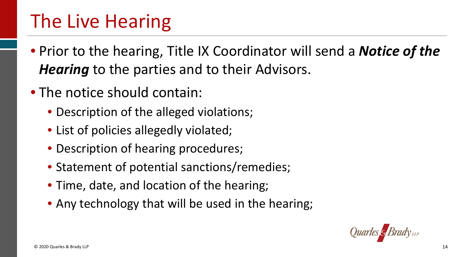- • Prior to the hearing, Title IX Coordinator will send a *Notice of the Hearing* to the parties and to their Advisors.
- The notice should contain:
	- Description of the alleged violations;
	- List of policies allegedly violated;
	- Description of hearing procedures;
	- Statement of potential sanctions/remedies;
	- Time, date, and location of the hearing;
	- Any technology that will be used in the hearing;

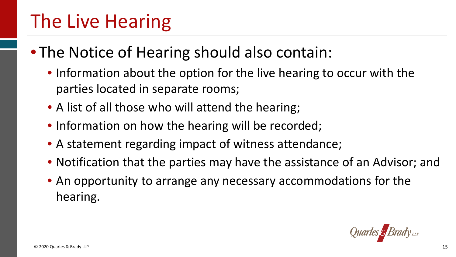#### • The Notice of Hearing should also contain:

- • Information about the option for the live hearing to occur with the parties located in separate rooms;
- A list of all those who will attend the hearing;
- Information on how the hearing will be recorded;
- A statement regarding impact of witness attendance;
- Notification that the parties may have the assistance of an Advisor; and
- • An opportunity to arrange any necessary accommodations for the hearing.

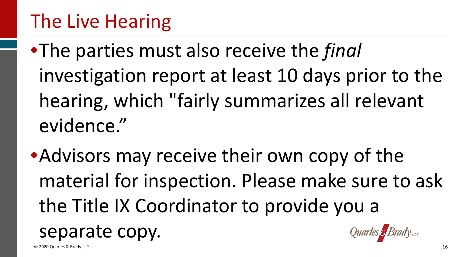investigation report at least 10 days prior to the hearing, which "fairly summarizes all relevant •The parties must also receive the *final*  evidence."

•Advisors may receive their own copy of the material for inspection. Please make sure to ask the Title IX Coordinator to provide you a separate copy.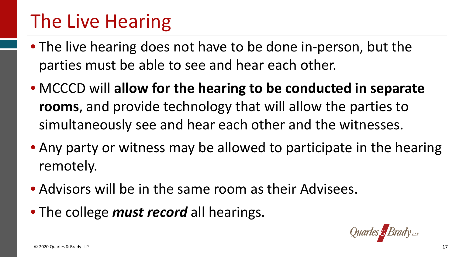- • The live hearing does not have to be done in-person, but the parties must be able to see and hear each other.
- **rooms**, and provide technology that will allow the parties to simultaneously see and hear each other and the witnesses. • MCCCD will **allow for the hearing to be conducted in separate**
- Any party or witness may be allowed to participate in the hearing remotely.
- Advisors will be in the same room as their Advisees.
- The college *must record* all hearings.

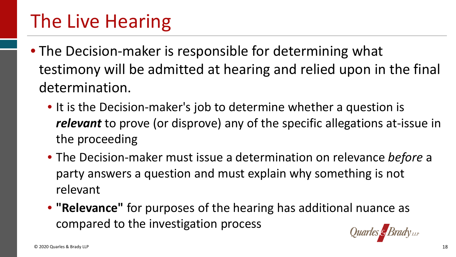- • The Decision-maker is responsible for determining what testimony will be admitted at hearing and relied upon in the final determination.
	- • It is the Decision-maker's job to determine whether a question is *relevant* to prove (or disprove) any of the specific allegations at-issue in the proceeding
	- • The Decision-maker must issue a determination on relevance *before* a party answers a question and must explain why something is not relevant
	- • **"Relevance"** for purposes of the hearing has additional nuance as compared to the investigation process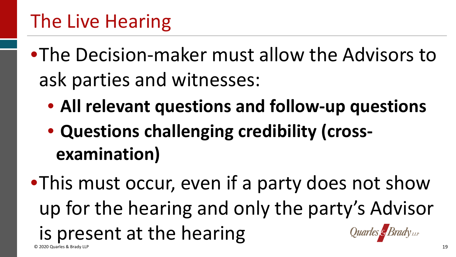- •The Decision-maker must allow the Advisors to ask parties and witnesses:
	- **All relevant questions and follow-up questions**
	- **Questions challenging credibility (crossexamination)**

 •This must occur, even if a party does not show up for the hearing and only the party's Advisor is present at the hearing © 2020 Quarles & Brady LLP 19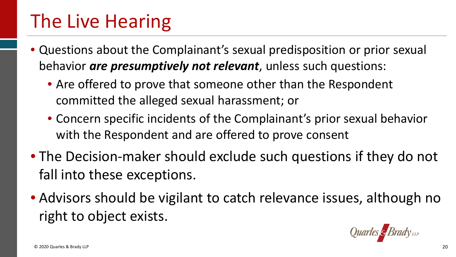- • Questions about the Complainant's sexual predisposition or prior sexual behavior *are presumptively not relevant*, unless such questions:
	- • Are offered to prove that someone other than the Respondent committed the alleged sexual harassment; or
	- • Concern specific incidents of the Complainant's prior sexual behavior with the Respondent and are offered to prove consent
- The Decision-maker should exclude such questions if they do not fall into these exceptions.
- Advisors should be vigilant to catch relevance issues, although no right to object exists.

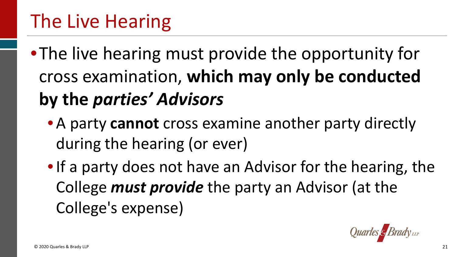•The live hearing must provide the opportunity for cross examination, **which may only be conducted by the** *parties' Advisors* 

- • A party **cannot** cross examine another party directly during the hearing (or ever)
- • If a party does not have an Advisor for the hearing, the College *must provide* the party an Advisor (at the College's expense)

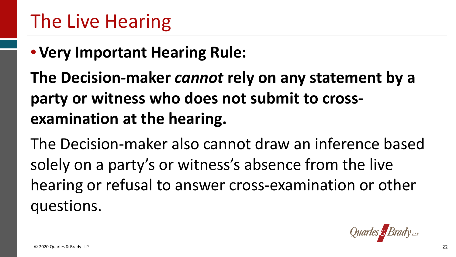#### • **Very Important Hearing Rule:**

 **The Decision-maker** *cannot* **rely on any statement by a party or witness who does not submit to crossexamination at the hearing.** 

 The Decision-maker also cannot draw an inference based solely on a party's or witness's absence from the live hearing or refusal to answer cross-examination or other questions.

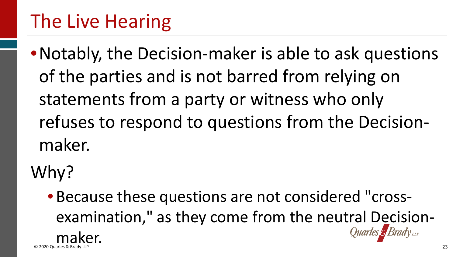of the parties and is not barred from relying on statements from a party or witness who only refuses to respond to questions from the Decision-•Notably, the Decision-maker is able to ask questions maker.

Why?

 • Because these questions are not considered "crossexamination," as they come from the neutral Decisionmaker.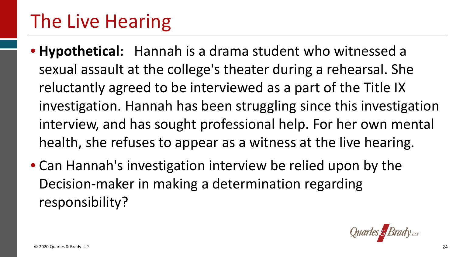- **Hypothetical:** Hannah is a drama student who witnessed a sexual assault at the college's theater during a rehearsal. She reluctantly agreed to be interviewed as a part of the Title IX investigation. Hannah has been struggling since this investigation interview, and has sought professional help. For her own mental health, she refuses to appear as a witness at the live hearing.
- Can Hannah's investigation interview be relied upon by the Decision-maker in making a determination regarding responsibility?

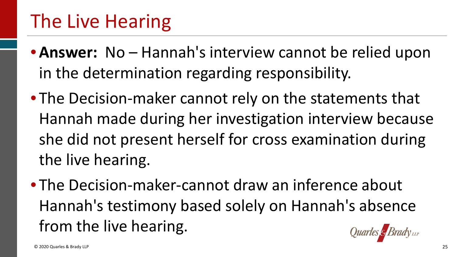- • **Answer:** No Hannah's interview cannot be relied upon in the determination regarding responsibility.
- • The Decision-maker cannot rely on the statements that she did not present herself for cross examination during Hannah made during her investigation interview because the live hearing.
- • The Decision-maker-cannot draw an inference about Hannah's testimony based solely on Hannah's absence from the live hearing.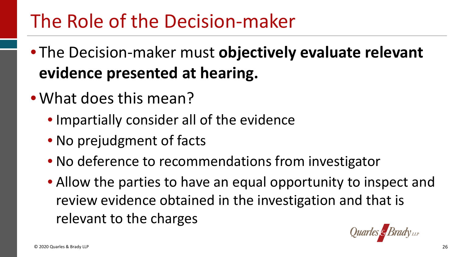# The Role of the Decision-maker

- The Decision-maker must **objectively evaluate relevant evidence presented at hearing.**
- What does this mean?
	- Impartially consider all of the evidence
	- No prejudgment of facts
	- No deference to recommendations from investigator
	- • Allow the parties to have an equal opportunity to inspect and review evidence obtained in the investigation and that is relevant to the charges<br>
	© 2020 Quarles & Brady LLP 26

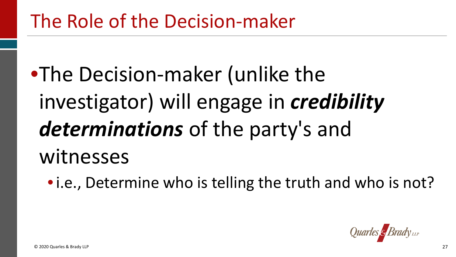•The Decision-maker (unlike the investigator) will engage in *credibility determinations* of the party's and witnesses

• i.e., Determine who is telling the truth and who is not?

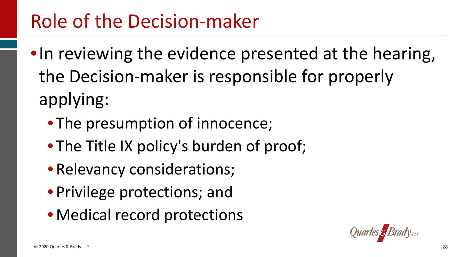# Role of the Decision-maker

- •In reviewing the evidence presented at the hearing, the Decision-maker is responsible for properly applying:
	- The presumption of innocence;
	- The Title IX policy's burden of proof;
	- Relevancy considerations;
	- Privilege protections; and
	- Medical record protections

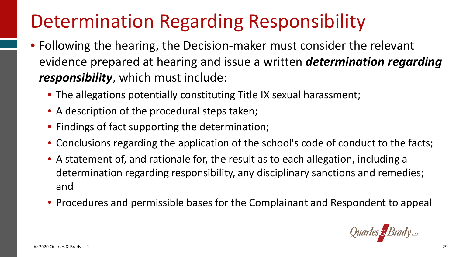# Determination Regarding Responsibility

- evidence prepared at hearing and issue a written *determination regarding responsibility*, which must include: • Following the hearing, the Decision-maker must consider the relevant
	- The allegations potentially constituting Title IX sexual harassment;
	- A description of the procedural steps taken;
	- Findings of fact supporting the determination;
	- Conclusions regarding the application of the school's code of conduct to the facts;
	- • A statement of, and rationale for, the result as to each allegation, including a determination regarding responsibility, any disciplinary sanctions and remedies; and
	- Procedures and permissible bases for the Complainant and Respondent to appeal

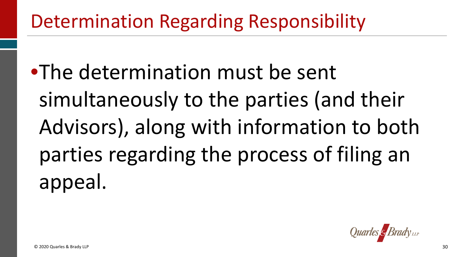# Determination Regarding Responsibility

•The determination must be sent simultaneously to the parties (and their Advisors), along with information to both parties regarding the process of filing an appeal.

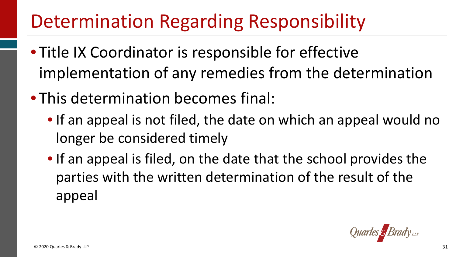# Determination Regarding Responsibility

- Title IX Coordinator is responsible for effective implementation of any remedies from the determination
- This determination becomes final:
	- If an appeal is not filed, the date on which an appeal would no longer be considered timely
	- • If an appeal is filed, on the date that the school provides the parties with the written determination of the result of the appeal

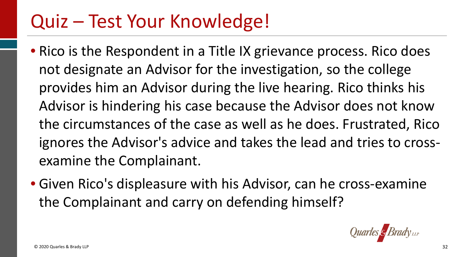- • Rico is the Respondent in a Title IX grievance process. Rico does not designate an Advisor for the investigation, so the college provides him an Advisor during the live hearing. Rico thinks his Advisor is hindering his case because the Advisor does not know the circumstances of the case as well as he does. Frustrated, Rico ignores the Advisor's advice and takes the lead and tries to crossexamine the Complainant.
- • Given Rico's displeasure with his Advisor, can he cross-examine the Complainant and carry on defending himself?

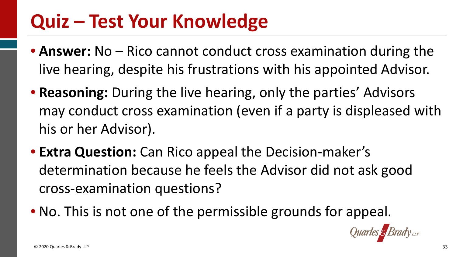- • **Answer:** No Rico cannot conduct cross examination during the live hearing, despite his frustrations with his appointed Advisor.
- • **Reasoning:** During the live hearing, only the parties' Advisors may conduct cross examination (even if a party is displeased with his or her Advisor).
- determination because he feels the Advisor did not ask good • **Extra Question:** Can Rico appeal the Decision-maker's cross-examination questions?
- No. This is not one of the permissible grounds for appeal.

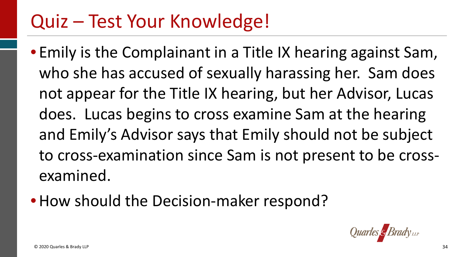- • Emily is the Complainant in a Title IX hearing against Sam, who she has accused of sexually harassing her. Sam does not appear for the Title IX hearing, but her Advisor, Lucas does. Lucas begins to cross examine Sam at the hearing and Emily's Advisor says that Emily should not be subject to cross-examination since Sam is not present to be crossexamined.
- How should the Decision-maker respond?

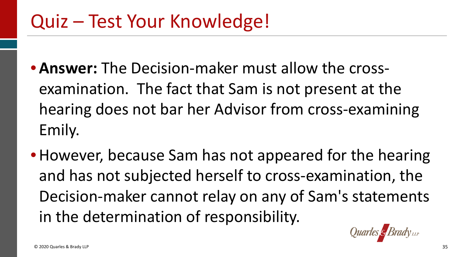- examination. The fact that Sam is not present at the hearing does not bar her Advisor from cross-examining • **Answer:** The Decision-maker must allow the cross-Emily.
- • However, because Sam has not appeared for the hearing and has not subjected herself to cross-examination, the Decision-maker cannot relay on any of Sam's statements in the determination of responsibility.

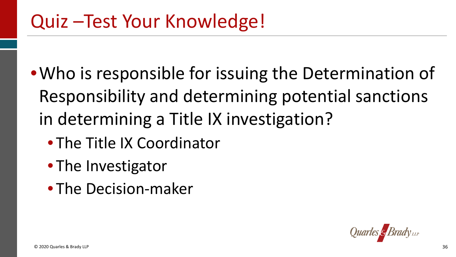- •Who is responsible for issuing the Determination of in determining a Title IX investigation? Responsibility and determining potential sanctions
	- The Title IX Coordinator
	- The Investigator
	- The Decision-maker

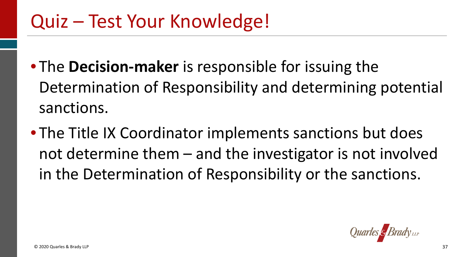- Determination of Responsibility and determining potential • The **Decision-maker** is responsible for issuing the sanctions.
- • The Title IX Coordinator implements sanctions but does not determine them – and the investigator is not involved in the Determination of Responsibility or the sanctions.